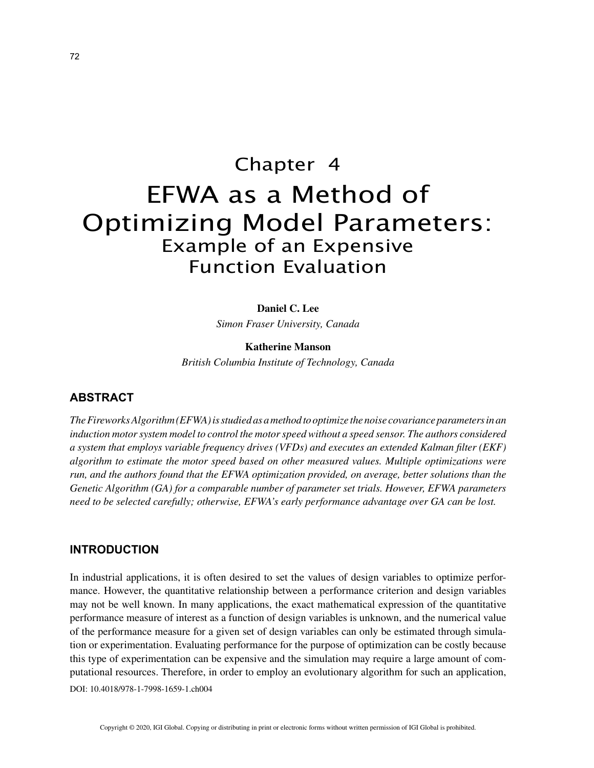# Chapter 4 EFWA as a Method of Optimizing Model Parameters: Example of an Expensive Function Evaluation

#### **Daniel C. Lee**

*Simon Fraser University, Canada*

### **Katherine Manson**

*British Columbia Institute of Technology, Canada*

## **ABSTRACT**

*The Fireworks Algorithm (EFWA) is studied as a method to optimize the noise covariance parameters in an induction motor system model to control the motor speed without a speed sensor. The authors considered a system that employs variable frequency drives (VFDs) and executes an extended Kalman filter (EKF) algorithm to estimate the motor speed based on other measured values. Multiple optimizations were run, and the authors found that the EFWA optimization provided, on average, better solutions than the Genetic Algorithm (GA) for a comparable number of parameter set trials. However, EFWA parameters need to be selected carefully; otherwise, EFWA's early performance advantage over GA can be lost.*

## **INTRODUCTION**

In industrial applications, it is often desired to set the values of design variables to optimize performance. However, the quantitative relationship between a performance criterion and design variables may not be well known. In many applications, the exact mathematical expression of the quantitative performance measure of interest as a function of design variables is unknown, and the numerical value of the performance measure for a given set of design variables can only be estimated through simulation or experimentation. Evaluating performance for the purpose of optimization can be costly because this type of experimentation can be expensive and the simulation may require a large amount of computational resources. Therefore, in order to employ an evolutionary algorithm for such an application,

DOI: 10.4018/978-1-7998-1659-1.ch004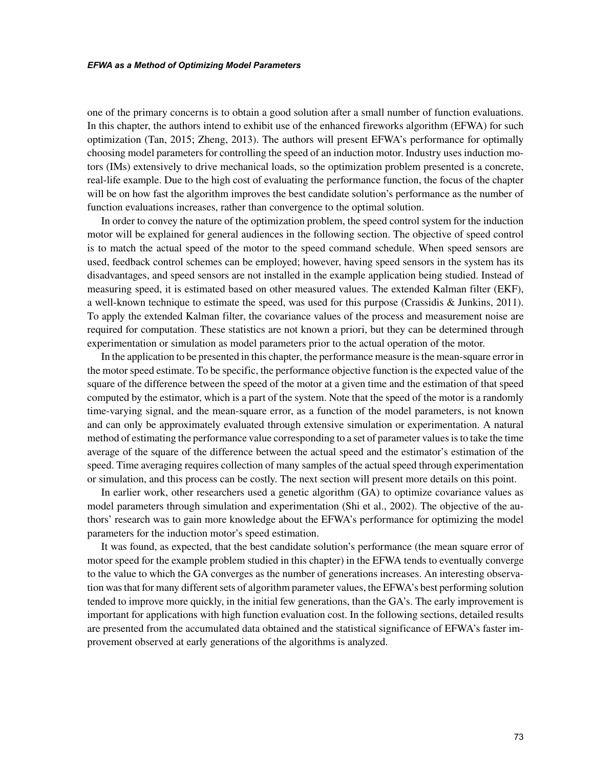one of the primary concerns is to obtain a good solution after a small number of function evaluations. In this chapter, the authors intend to exhibit use of the enhanced fireworks algorithm (EFWA) for such optimization (Tan, 2015; Zheng, 2013). The authors will present EFWA's performance for optimally choosing model parameters for controlling the speed of an induction motor. Industry uses induction motors (IMs) extensively to drive mechanical loads, so the optimization problem presented is a concrete, real-life example. Due to the high cost of evaluating the performance function, the focus of the chapter will be on how fast the algorithm improves the best candidate solution's performance as the number of function evaluations increases, rather than convergence to the optimal solution.

In order to convey the nature of the optimization problem, the speed control system for the induction motor will be explained for general audiences in the following section. The objective of speed control is to match the actual speed of the motor to the speed command schedule. When speed sensors are used, feedback control schemes can be employed; however, having speed sensors in the system has its disadvantages, and speed sensors are not installed in the example application being studied. Instead of measuring speed, it is estimated based on other measured values. The extended Kalman filter (EKF), a well-known technique to estimate the speed, was used for this purpose (Crassidis & Junkins, 2011). To apply the extended Kalman filter, the covariance values of the process and measurement noise are required for computation. These statistics are not known a priori, but they can be determined through experimentation or simulation as model parameters prior to the actual operation of the motor.

In the application to be presented in this chapter, the performance measure is the mean-square error in the motor speed estimate. To be specific, the performance objective function is the expected value of the square of the difference between the speed of the motor at a given time and the estimation of that speed computed by the estimator, which is a part of the system. Note that the speed of the motor is a randomly time-varying signal, and the mean-square error, as a function of the model parameters, is not known and can only be approximately evaluated through extensive simulation or experimentation. A natural method of estimating the performance value corresponding to a set of parameter values is to take the time average of the square of the difference between the actual speed and the estimator's estimation of the speed. Time averaging requires collection of many samples of the actual speed through experimentation or simulation, and this process can be costly. The next section will present more details on this point.

In earlier work, other researchers used a genetic algorithm (GA) to optimize covariance values as model parameters through simulation and experimentation (Shi et al., 2002). The objective of the authors' research was to gain more knowledge about the EFWA's performance for optimizing the model parameters for the induction motor's speed estimation.

It was found, as expected, that the best candidate solution's performance (the mean square error of motor speed for the example problem studied in this chapter) in the EFWA tends to eventually converge to the value to which the GA converges as the number of generations increases. An interesting observation was that for many different sets of algorithm parameter values, the EFWA's best performing solution tended to improve more quickly, in the initial few generations, than the GA's. The early improvement is important for applications with high function evaluation cost. In the following sections, detailed results are presented from the accumulated data obtained and the statistical significance of EFWA's faster improvement observed at early generations of the algorithms is analyzed.